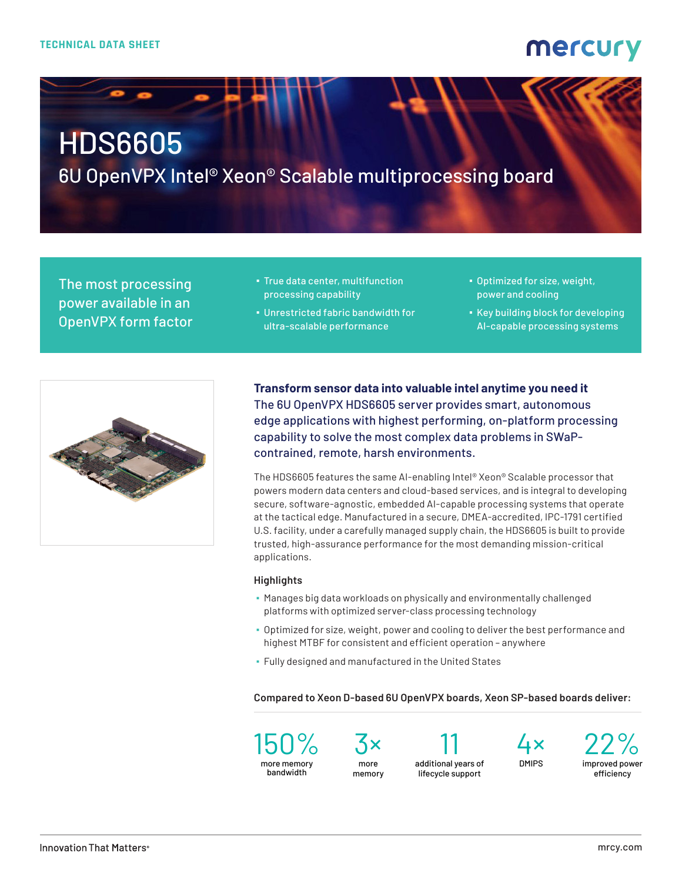### mercury

# HDS6605

6U OpenVPX Intel® Xeon® Scalable multiprocessing board

The most processing power available in an OpenVPX form factor

- **· True data center, multifunction** processing capability
- **.** Unrestricted fabric bandwidth for ultra-scalable performance
- Optimized for size, weight, power and cooling
- Key building block for developing AI-capable processing systems



**Transform sensor data into valuable intel anytime you need it** The 6U OpenVPX HDS6605 server provides smart, autonomous edge applications with highest performing, on-platform processing capability to solve the most complex data problems in SWaPcontrained, remote, harsh environments.

The HDS6605 features the same AI-enabling Intel® Xeon® Scalable processor that powers modern data centers and cloud-based services, and is integral to developing secure, software-agnostic, embedded AI-capable processing systems that operate at the tactical edge. Manufactured in a secure, DMEA-accredited, IPC-1791 certified U.S. facility, under a carefully managed supply chain, the HDS6605 is built to provide trusted, high-assurance performance for the most demanding mission-critical applications.

#### **Highlights**

- Manages big data workloads on physically and environmentally challenged platforms with optimized server-class processing technology
- Optimized for size, weight, power and cooling to deliver the best performance and highest MTBF for consistent and efficient operation – anywhere
- Fully designed and manufactured in the United States

**Compared to Xeon D-based 6U OpenVPX boards, Xeon SP-based boards deliver:**

150% more memory bandwidth

3× more memory

11 additional years of lifecycle support

4× DMIPS

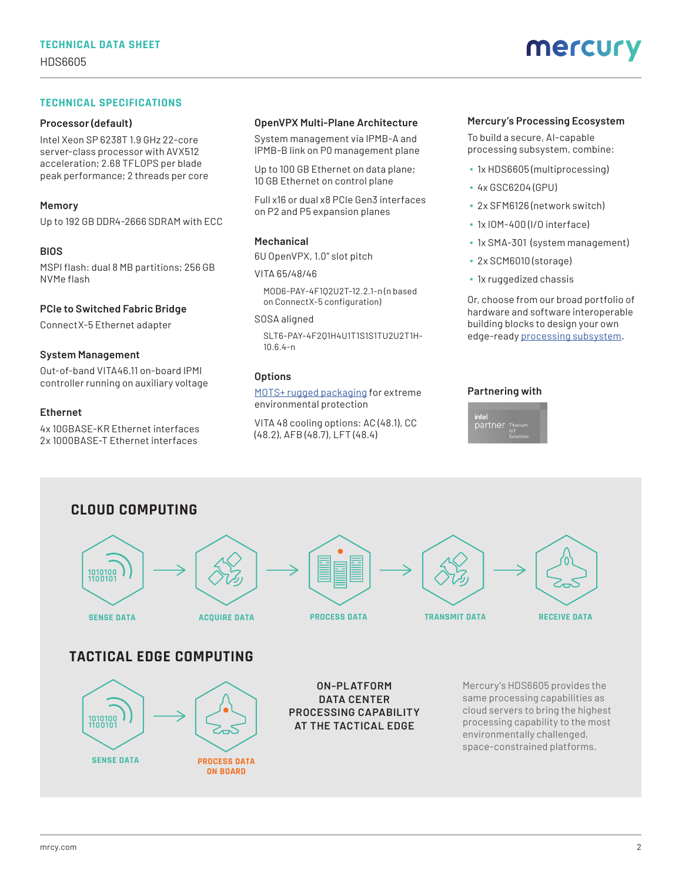#### **TECHNICAL SPECIFICATIONS**

#### **Processor (default)**

Intel Xeon SP 6238T 1.9 GHz 22-core server-class processor with AVX512 acceleration; 2.68 TFLOPS per blade peak performance; 2 threads per core

#### **Memory**

Up to 192 GB DDR4-2666 SDRAM with ECC

#### **BIOS**

MSPI flash: dual 8 MB partitions; 256 GB NVMe flash

#### **PCIe to Switched Fabric Bridge**

ConnectX-5 Ethernet adapter

#### **System Management**

Out-of-band VITA46.11 on-board IPMI controller running on auxiliary voltage

#### **Ethernet**

4x 10GBASE-KR Ethernet interfaces 2x 1000BASE-T Ethernet interfaces

**SENSE DATA**

1010100<br>1100101

**PROCESS DATA ON BOARD**

#### **OpenVPX Multi-Plane Architecture**

System management via IPMB-A and IPMB-B link on P0 management plane

Up to 100 GB Ethernet on data plane; 10 GB Ethernet on control plane

Full x16 or dual x8 PCIe Gen3 interfaces on P2 and P5 expansion planes

#### **Mechanical**

6U OpenVPX, 1.0" slot pitch

#### VITA 65/48/46

MOD6-PAY-4F1Q2U2T-12.2.1-n (n based on ConnectX-5 configuration)

#### SOSA aligned

SLT6-PAY-4F2Q1H4U1T1S1S1TU2U2T1H-10.6.4-n

#### **Options**

[MOTS+ rugged packaging](https://www.mrcy.com/application/files/3316/3769/3400/Rugged-OpenVPX-cooling-tech-brief-8031.03E.pdf?utm_source=collateral&utm_medium=print&utm_content=ds&utm_campaign=pla_embedded
) for extreme environmental protection

VITA 48 cooling options: AC (48.1), CC (48.2), AFB (48.7), LFT (48.4)

#### **Mercury's Processing Ecosystem**

To build a secure, AI-capable processing subsystem, combine:

- 1x HDS6605 (multiprocessing)
- 4x GSC6204 (GPU)
- 2x SFM6126 (network switch)
- 1x IOM-400 (I/O interface)
- 1x SMA-301 (system management)
- 2x SCM6010 (storage)
- 1x ruggedized chassis

Or, choose from our broad portfolio of hardware and software interoperable building blocks to design your own edge-ready [processing subsystem](https://www.mrcy.com/products/rugged-servers-and-subsystems/openvpx-systems/embedded-processing-subsystems?utm_source=collateral&utm_medium=print&utm_content=ds&utm_campaign=pla_embedded
).

#### **[Partnering with](https://www.mrcy.com/capabilities/partners/intel?utm_source=collateral&utm_medium=print&utm_content=ds&utm_campaign=pla_embedded
)**





**PROCESSING CAPABILITY AT THE TACTICAL EDGE**

cloud servers to bring the highest processing capability to the most environmentally challenged, space-constrained platforms.

#### [mrcy.com](https://www.mrcy.com?utm_campaign=pla_embedded&utm_medium=print&utm_source=collateral&utm_content=hds6705_ds) 2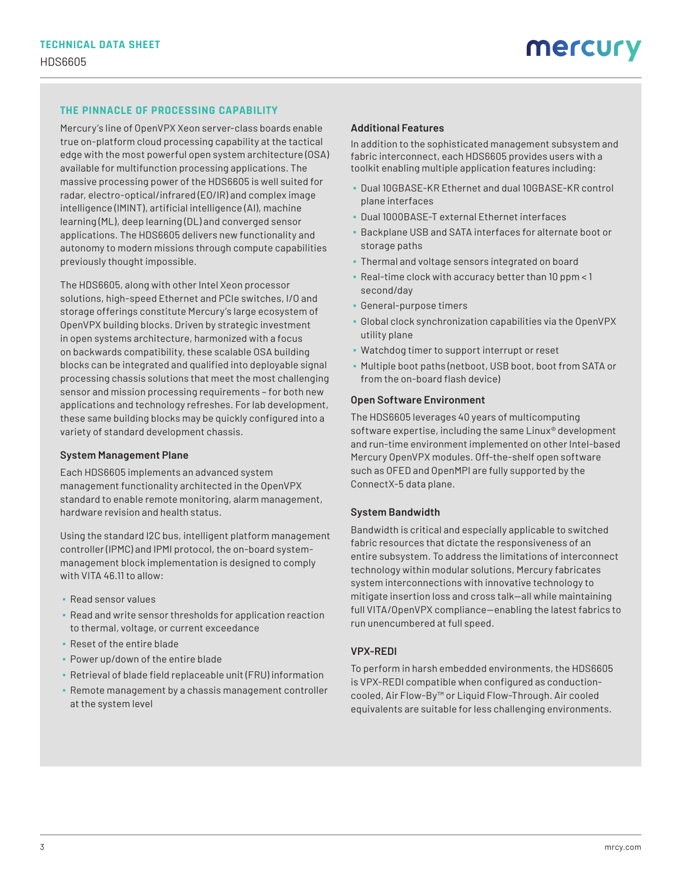### **THE PINNACLE OF PROCESSING CAPABILITY**

Mercury's line of OpenVPX Xeon server-class boards enable true on-platform cloud processing capability at the tactical edge with the most powerful open system architecture (OSA) available for multifunction processing applications. The massive processing power of the HDS6605 is well suited for radar, electro-optical/infrared (EO/IR) and complex image intelligence (IMINT), artificial intelligence (AI), machine learning (ML), deep learning (DL) and converged sensor applications. The HDS6605 delivers new functionality and autonomy to modern missions through compute capabilities previously thought impossible.

The HDS6605, along with other Intel Xeon processor solutions, high-speed Ethernet and PCIe switches, I/O and storage offerings constitute Mercury's large ecosystem of OpenVPX building blocks. Driven by strategic investment in open systems architecture, harmonized with a focus on backwards compatibility, these scalable OSA building blocks can be integrated and qualified into deployable signal processing chassis solutions that meet the most challenging sensor and mission processing requirements – for both new applications and technology refreshes. For lab development, these same building blocks may be quickly configured into a variety of standard development chassis.

#### **System Management Plane**

Each HDS6605 implements an advanced system management functionality architected in the OpenVPX standard to enable remote monitoring, alarm management, hardware revision and health status.

Using the standard I2C bus, intelligent platform management controller (IPMC) and IPMI protocol, the on-board systemmanagement block implementation is designed to comply with VITA 46.11 to allow:

- Read sensor values
- Read and write sensor thresholds for application reaction to thermal, voltage, or current exceedance
- Reset of the entire blade
- Power up/down of the entire blade
- Retrieval of blade field replaceable unit (FRU) information
- Remote management by a chassis management controller at the system level

#### **Additional Features**

In addition to the sophisticated management subsystem and fabric interconnect, each HDS6605 provides users with a toolkit enabling multiple application features including:

- Dual 10GBASE-KR Ethernet and dual 10GBASE-KR control plane interfaces
- Dual 1000BASE-T external Ethernet interfaces
- Backplane USB and SATA interfaces for alternate boot or storage paths
- **Thermal and voltage sensors integrated on board**
- Real-time clock with accuracy better than 10 ppm < 1 second/day
- General-purpose timers
- Global clock synchronization capabilities via the OpenVPX utility plane
- Watchdog timer to support interrupt or reset
- Multiple boot paths (netboot, USB boot, boot from SATA or from the on-board flash device)

#### **Open Software Environment**

The HDS6605 leverages 40 years of multicomputing software expertise, including the same Linux® development and run-time environment implemented on other Intel-based Mercury OpenVPX modules. Off-the-shelf open software such as OFED and OpenMPI are fully supported by the ConnectX-5 data plane.

#### **System Bandwidth**

Bandwidth is critical and especially applicable to switched fabric resources that dictate the responsiveness of an entire subsystem. To address the limitations of interconnect technology within modular solutions, Mercury fabricates system interconnections with innovative technology to mitigate insertion loss and cross talk—all while maintaining full VITA/OpenVPX compliance—enabling the latest fabrics to run unencumbered at full speed.

#### **VPX-REDI**

To perform in harsh embedded environments, the HDS6605 is VPX-REDI compatible when configured as conductioncooled, Air Flow-By™ or Liquid Flow-Through. Air cooled equivalents are suitable for less challenging environments.